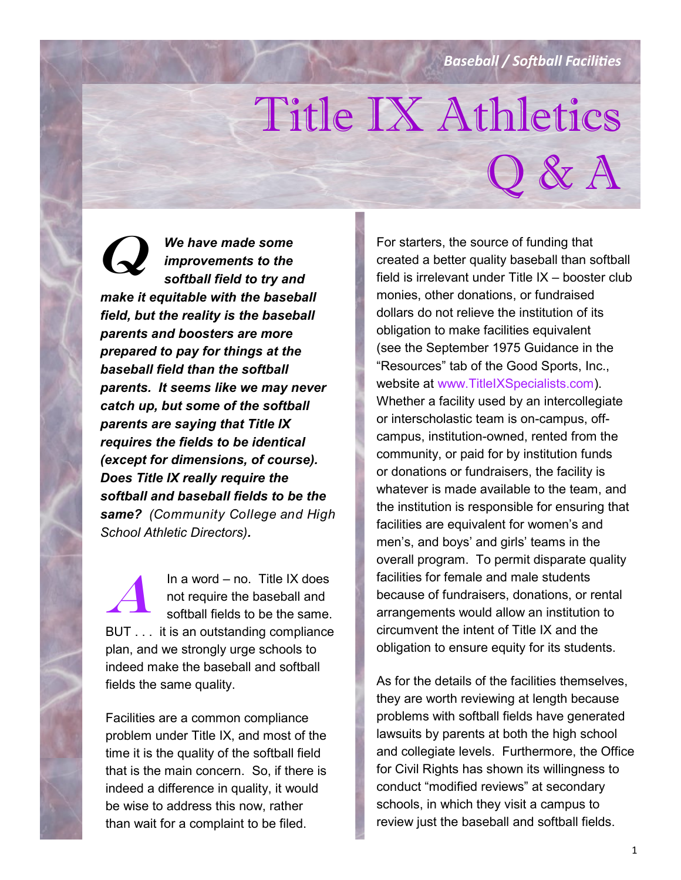*Baseball / Softball Facilities*

 $Q$  &  $A$ 

# Title IX Athletics

*We have made some improvements to the softball field to try and make it equitable with the baseball field, but the reality is the baseball parents and boosters are more prepared to pay for things at the baseball field than the softball parents. It seems like we may never catch up, but some of the softball parents are saying that Title IX requires the fields to be identical (except for dimensions, of course). Does Title IX really require the softball and baseball fields to be the same? (Community College and High School Athletic Directors).*  $\boldsymbol{Q}$ 

In a word – no. Title IX does not require the baseball and softball fields to be the same. BUT . . . it is an outstanding compliance plan, and we strongly urge schools to indeed make the baseball and softball fields the same quality. A

Facilities are a common compliance problem under Title IX, and most of the time it is the quality of the softball field that is the main concern. So, if there is indeed a difference in quality, it would be wise to address this now, rather than wait for a complaint to be filed.

For starters, the source of funding that created a better quality baseball than softball field is irrelevant under Title IX – booster club monies, other donations, or fundraised dollars do not relieve the institution of its obligation to make facilities equivalent (see the September 1975 Guidance in the "Resources" tab of the Good Sports, Inc., website at www.TitleIXSpecialists.com). Whether a facility used by an intercollegiate or interscholastic team is on-campus, offcampus, institution-owned, rented from the community, or paid for by institution funds or donations or fundraisers, the facility is whatever is made available to the team, and the institution is responsible for ensuring that facilities are equivalent for women's and men's, and boys' and girls' teams in the overall program. To permit disparate quality facilities for female and male students because of fundraisers, donations, or rental arrangements would allow an institution to circumvent the intent of Title IX and the obligation to ensure equity for its students.

As for the details of the facilities themselves, they are worth reviewing at length because problems with softball fields have generated lawsuits by parents at both the high school and collegiate levels. Furthermore, the Office for Civil Rights has shown its willingness to conduct "modified reviews" at secondary schools, in which they visit a campus to review just the baseball and softball fields.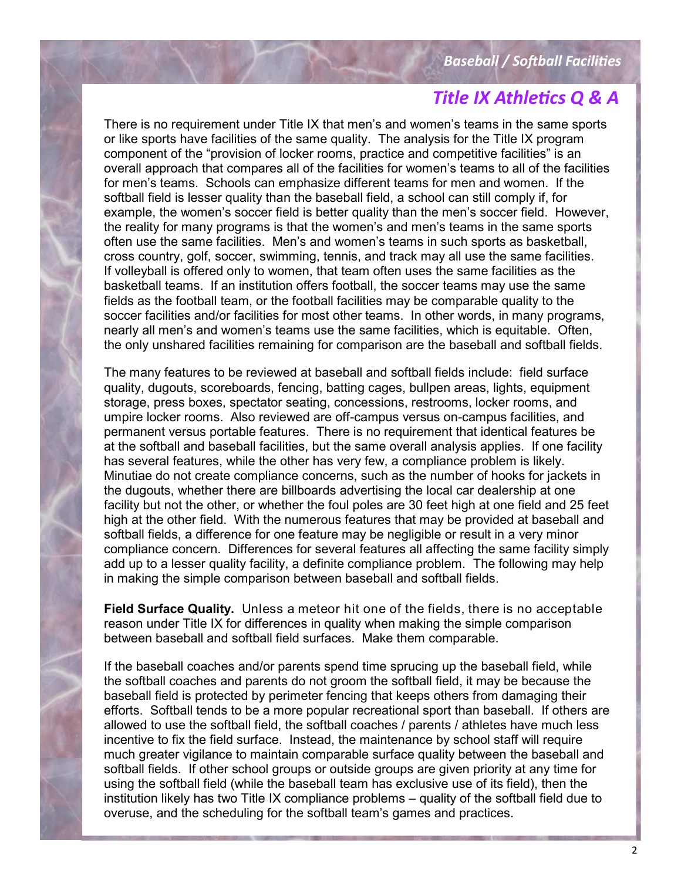There is no requirement under Title IX that men's and women's teams in the same sports or like sports have facilities of the same quality. The analysis for the Title IX program component of the "provision of locker rooms, practice and competitive facilities" is an overall approach that compares all of the facilities for women's teams to all of the facilities for men's teams. Schools can emphasize different teams for men and women. If the softball field is lesser quality than the baseball field, a school can still comply if, for example, the women's soccer field is better quality than the men's soccer field. However, the reality for many programs is that the women's and men's teams in the same sports often use the same facilities. Men's and women's teams in such sports as basketball, cross country, golf, soccer, swimming, tennis, and track may all use the same facilities. If volleyball is offered only to women, that team often uses the same facilities as the basketball teams. If an institution offers football, the soccer teams may use the same fields as the football team, or the football facilities may be comparable quality to the soccer facilities and/or facilities for most other teams. In other words, in many programs, nearly all men's and women's teams use the same facilities, which is equitable. Often, the only unshared facilities remaining for comparison are the baseball and softball fields.

The many features to be reviewed at baseball and softball fields include: field surface quality, dugouts, scoreboards, fencing, batting cages, bullpen areas, lights, equipment storage, press boxes, spectator seating, concessions, restrooms, locker rooms, and umpire locker rooms. Also reviewed are off-campus versus on-campus facilities, and permanent versus portable features. There is no requirement that identical features be at the softball and baseball facilities, but the same overall analysis applies. If one facility has several features, while the other has very few, a compliance problem is likely. Minutiae do not create compliance concerns, such as the number of hooks for jackets in the dugouts, whether there are billboards advertising the local car dealership at one facility but not the other, or whether the foul poles are 30 feet high at one field and 25 feet high at the other field. With the numerous features that may be provided at baseball and softball fields, a difference for one feature may be negligible or result in a very minor compliance concern. Differences for several features all affecting the same facility simply add up to a lesser quality facility, a definite compliance problem. The following may help in making the simple comparison between baseball and softball fields.

**Field Surface Quality.** Unless a meteor hit one of the fields, there is no acceptable reason under Title IX for differences in quality when making the simple comparison between baseball and softball field surfaces. Make them comparable.

If the baseball coaches and/or parents spend time sprucing up the baseball field, while the softball coaches and parents do not groom the softball field, it may be because the baseball field is protected by perimeter fencing that keeps others from damaging their efforts. Softball tends to be a more popular recreational sport than baseball. If others are allowed to use the softball field, the softball coaches / parents / athletes have much less incentive to fix the field surface. Instead, the maintenance by school staff will require much greater vigilance to maintain comparable surface quality between the baseball and softball fields. If other school groups or outside groups are given priority at any time for using the softball field (while the baseball team has exclusive use of its field), then the institution likely has two Title IX compliance problems – quality of the softball field due to overuse, and the scheduling for the softball team's games and practices.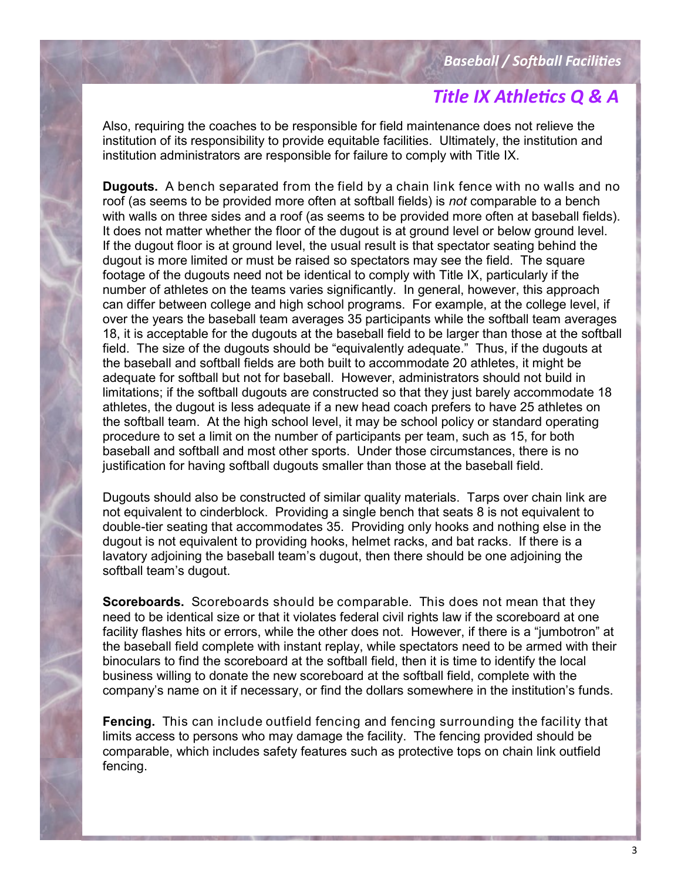Also, requiring the coaches to be responsible for field maintenance does not relieve the institution of its responsibility to provide equitable facilities. Ultimately, the institution and institution administrators are responsible for failure to comply with Title IX.

**Dugouts.** A bench separated from the field by a chain link fence with no walls and no roof (as seems to be provided more often at softball fields) is *not* comparable to a bench with walls on three sides and a roof (as seems to be provided more often at baseball fields). It does not matter whether the floor of the dugout is at ground level or below ground level. If the dugout floor is at ground level, the usual result is that spectator seating behind the dugout is more limited or must be raised so spectators may see the field. The square footage of the dugouts need not be identical to comply with Title IX, particularly if the number of athletes on the teams varies significantly. In general, however, this approach can differ between college and high school programs. For example, at the college level, if over the years the baseball team averages 35 participants while the softball team averages 18, it is acceptable for the dugouts at the baseball field to be larger than those at the softball field. The size of the dugouts should be "equivalently adequate." Thus, if the dugouts at the baseball and softball fields are both built to accommodate 20 athletes, it might be adequate for softball but not for baseball. However, administrators should not build in limitations; if the softball dugouts are constructed so that they just barely accommodate 18 athletes, the dugout is less adequate if a new head coach prefers to have 25 athletes on the softball team. At the high school level, it may be school policy or standard operating procedure to set a limit on the number of participants per team, such as 15, for both baseball and softball and most other sports. Under those circumstances, there is no justification for having softball dugouts smaller than those at the baseball field.

Dugouts should also be constructed of similar quality materials. Tarps over chain link are not equivalent to cinderblock. Providing a single bench that seats 8 is not equivalent to double-tier seating that accommodates 35. Providing only hooks and nothing else in the dugout is not equivalent to providing hooks, helmet racks, and bat racks. If there is a lavatory adjoining the baseball team's dugout, then there should be one adjoining the softball team's dugout.

**Scoreboards.** Scoreboards should be comparable. This does not mean that they need to be identical size or that it violates federal civil rights law if the scoreboard at one facility flashes hits or errors, while the other does not. However, if there is a "jumbotron" at the baseball field complete with instant replay, while spectators need to be armed with their binoculars to find the scoreboard at the softball field, then it is time to identify the local business willing to donate the new scoreboard at the softball field, complete with the company's name on it if necessary, or find the dollars somewhere in the institution's funds.

**Fencing.** This can include outfield fencing and fencing surrounding the facility that limits access to persons who may damage the facility. The fencing provided should be comparable, which includes safety features such as protective tops on chain link outfield fencing.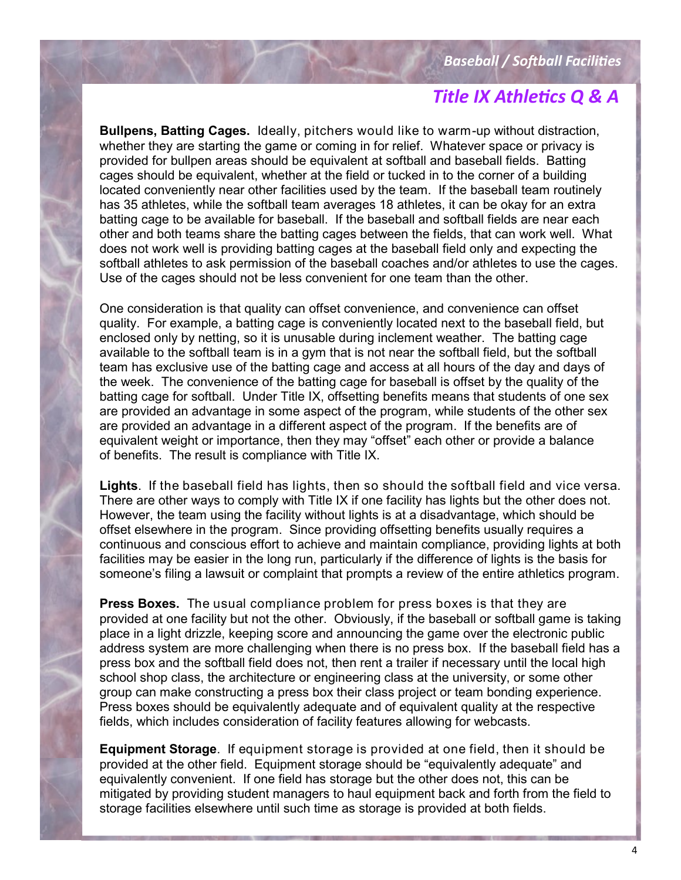**Bullpens, Batting Cages.** Ideally, pitchers would like to warm-up without distraction, whether they are starting the game or coming in for relief. Whatever space or privacy is provided for bullpen areas should be equivalent at softball and baseball fields. Batting cages should be equivalent, whether at the field or tucked in to the corner of a building located conveniently near other facilities used by the team. If the baseball team routinely has 35 athletes, while the softball team averages 18 athletes, it can be okay for an extra batting cage to be available for baseball. If the baseball and softball fields are near each other and both teams share the batting cages between the fields, that can work well. What does not work well is providing batting cages at the baseball field only and expecting the softball athletes to ask permission of the baseball coaches and/or athletes to use the cages. Use of the cages should not be less convenient for one team than the other.

One consideration is that quality can offset convenience, and convenience can offset quality. For example, a batting cage is conveniently located next to the baseball field, but enclosed only by netting, so it is unusable during inclement weather. The batting cage available to the softball team is in a gym that is not near the softball field, but the softball team has exclusive use of the batting cage and access at all hours of the day and days of the week. The convenience of the batting cage for baseball is offset by the quality of the batting cage for softball. Under Title IX, offsetting benefits means that students of one sex are provided an advantage in some aspect of the program, while students of the other sex are provided an advantage in a different aspect of the program. If the benefits are of equivalent weight or importance, then they may "offset" each other or provide a balance of benefits. The result is compliance with Title IX.

**Lights**. If the baseball field has lights, then so should the softball field and vice versa. There are other ways to comply with Title IX if one facility has lights but the other does not. However, the team using the facility without lights is at a disadvantage, which should be offset elsewhere in the program. Since providing offsetting benefits usually requires a continuous and conscious effort to achieve and maintain compliance, providing lights at both facilities may be easier in the long run, particularly if the difference of lights is the basis for someone's filing a lawsuit or complaint that prompts a review of the entire athletics program.

**Press Boxes.** The usual compliance problem for press boxes is that they are provided at one facility but not the other. Obviously, if the baseball or softball game is taking place in a light drizzle, keeping score and announcing the game over the electronic public address system are more challenging when there is no press box. If the baseball field has a press box and the softball field does not, then rent a trailer if necessary until the local high school shop class, the architecture or engineering class at the university, or some other group can make constructing a press box their class project or team bonding experience. Press boxes should be equivalently adequate and of equivalent quality at the respective fields, which includes consideration of facility features allowing for webcasts.

**Equipment Storage**. If equipment storage is provided at one field, then it should be provided at the other field. Equipment storage should be "equivalently adequate" and equivalently convenient. If one field has storage but the other does not, this can be mitigated by providing student managers to haul equipment back and forth from the field to storage facilities elsewhere until such time as storage is provided at both fields.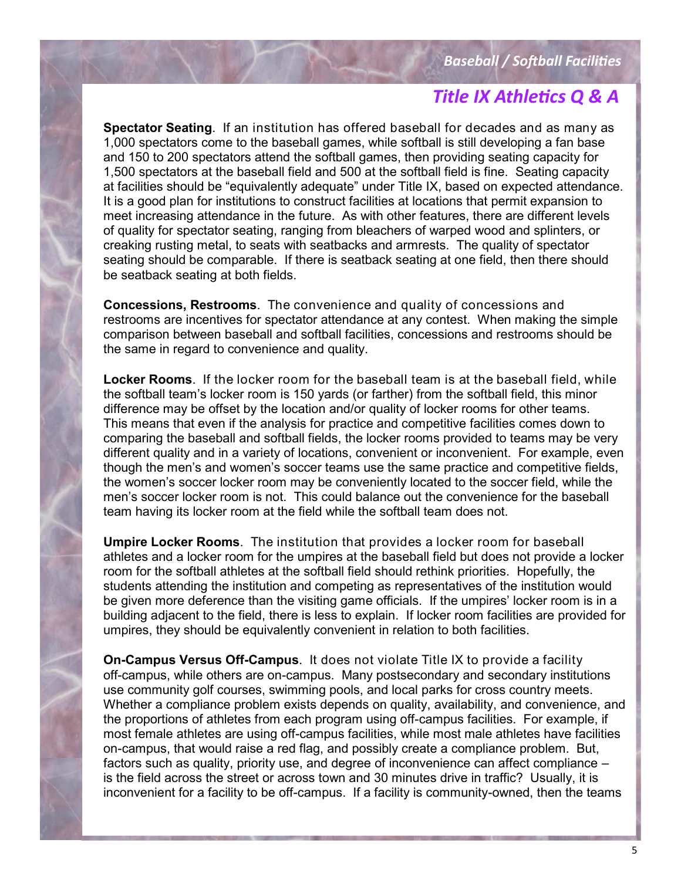**Spectator Seating**. If an institution has offered baseball for decades and as many as 1,000 spectators come to the baseball games, while softball is still developing a fan base and 150 to 200 spectators attend the softball games, then providing seating capacity for 1,500 spectators at the baseball field and 500 at the softball field is fine. Seating capacity at facilities should be "equivalently adequate" under Title IX, based on expected attendance. It is a good plan for institutions to construct facilities at locations that permit expansion to meet increasing attendance in the future. As with other features, there are different levels of quality for spectator seating, ranging from bleachers of warped wood and splinters, or creaking rusting metal, to seats with seatbacks and armrests. The quality of spectator seating should be comparable. If there is seatback seating at one field, then there should be seatback seating at both fields.

**Concessions, Restrooms**. The convenience and quality of concessions and restrooms are incentives for spectator attendance at any contest. When making the simple comparison between baseball and softball facilities, concessions and restrooms should be the same in regard to convenience and quality.

**Locker Rooms**. If the locker room for the baseball team is at the baseball field, while the softball team's locker room is 150 yards (or farther) from the softball field, this minor difference may be offset by the location and/or quality of locker rooms for other teams. This means that even if the analysis for practice and competitive facilities comes down to comparing the baseball and softball fields, the locker rooms provided to teams may be very different quality and in a variety of locations, convenient or inconvenient. For example, even though the men's and women's soccer teams use the same practice and competitive fields, the women's soccer locker room may be conveniently located to the soccer field, while the men's soccer locker room is not. This could balance out the convenience for the baseball team having its locker room at the field while the softball team does not.

**Umpire Locker Rooms**. The institution that provides a locker room for baseball athletes and a locker room for the umpires at the baseball field but does not provide a locker room for the softball athletes at the softball field should rethink priorities. Hopefully, the students attending the institution and competing as representatives of the institution would be given more deference than the visiting game officials. If the umpires' locker room is in a building adjacent to the field, there is less to explain. If locker room facilities are provided for umpires, they should be equivalently convenient in relation to both facilities.

**On-Campus Versus Off-Campus**. It does not violate Title IX to provide a facility off-campus, while others are on-campus. Many postsecondary and secondary institutions use community golf courses, swimming pools, and local parks for cross country meets. Whether a compliance problem exists depends on quality, availability, and convenience, and the proportions of athletes from each program using off-campus facilities. For example, if most female athletes are using off-campus facilities, while most male athletes have facilities on-campus, that would raise a red flag, and possibly create a compliance problem. But, factors such as quality, priority use, and degree of inconvenience can affect compliance – is the field across the street or across town and 30 minutes drive in traffic? Usually, it is inconvenient for a facility to be off-campus. If a facility is community-owned, then the teams